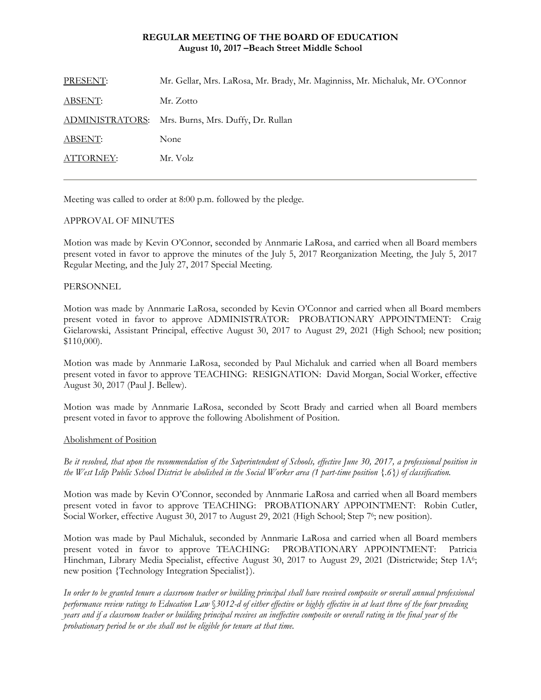# **REGULAR MEETING OF THE BOARD OF EDUCATION August 10, 2017 –Beach Street Middle School**

| PRESENT:       | Mr. Gellar, Mrs. LaRosa, Mr. Brady, Mr. Maginniss, Mr. Michaluk, Mr. O'Connor |
|----------------|-------------------------------------------------------------------------------|
| <b>ABSENT:</b> | Mr. Zotto                                                                     |
|                | ADMINISTRATORS: Mrs. Burns, Mrs. Duffy, Dr. Rullan                            |
| <b>ABSENT:</b> | None                                                                          |
| ATTORNEY:      | Mr. Volz                                                                      |
|                |                                                                               |

Meeting was called to order at 8:00 p.m. followed by the pledge.

# APPROVAL OF MINUTES

Motion was made by Kevin O'Connor, seconded by Annmarie LaRosa, and carried when all Board members present voted in favor to approve the minutes of the July 5, 2017 Reorganization Meeting, the July 5, 2017 Regular Meeting, and the July 27, 2017 Special Meeting.

# PERSONNEL

Motion was made by Annmarie LaRosa, seconded by Kevin O'Connor and carried when all Board members present voted in favor to approve ADMINISTRATOR: PROBATIONARY APPOINTMENT: Craig Gielarowski, Assistant Principal, effective August 30, 2017 to August 29, 2021 (High School; new position; \$110,000).

Motion was made by Annmarie LaRosa, seconded by Paul Michaluk and carried when all Board members present voted in favor to approve TEACHING: RESIGNATION: David Morgan, Social Worker, effective August 30, 2017 (Paul J. Bellew).

Motion was made by Annmarie LaRosa, seconded by Scott Brady and carried when all Board members present voted in favor to approve the following Abolishment of Position.

## Abolishment of Position

*Be it resolved, that upon the recommendation of the Superintendent of Schools, effective June 30, 2017, a professional position in the West Islip Public School District be abolished in the Social Worker area (1 part-time position {.6}) of classification.* 

Motion was made by Kevin O'Connor, seconded by Annmarie LaRosa and carried when all Board members present voted in favor to approve TEACHING: PROBATIONARY APPOINTMENT: Robin Cutler, Social Worker, effective August 30, 2017 to August 29, 2021 (High School; Step 76; new position).

Motion was made by Paul Michaluk, seconded by Annmarie LaRosa and carried when all Board members present voted in favor to approve TEACHING: PROBATIONARY APPOINTMENT: Patricia Hinchman, Library Media Specialist, effective August 30, 2017 to August 29, 2021 (Districtwide; Step 1A6; new position {Technology Integration Specialist}).

*In order to be granted tenure a classroom teacher or building principal shall have received composite or overall annual professional performance review ratings to Education Law* §*3012-d of either effective or highly effective in at least three of the four preceding years and if a classroom teacher or building principal receives an ineffective composite or overall rating in the final year of the probationary period he or she shall not be eligible for tenure at that time.*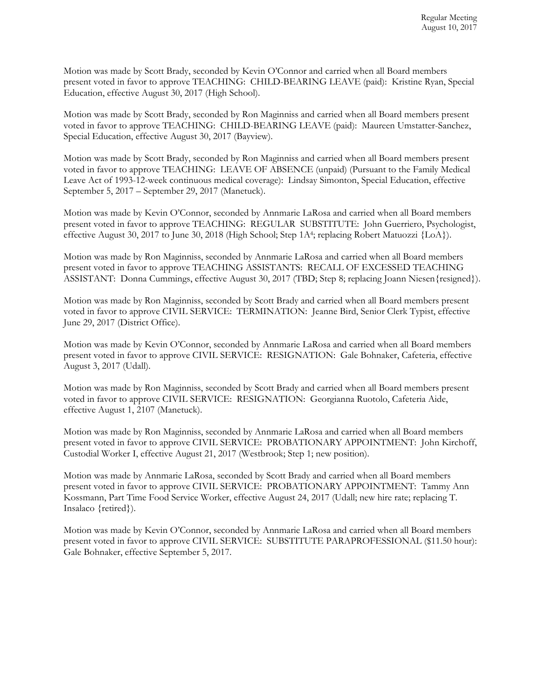Motion was made by Scott Brady, seconded by Kevin O'Connor and carried when all Board members present voted in favor to approve TEACHING: CHILD-BEARING LEAVE (paid): Kristine Ryan, Special Education, effective August 30, 2017 (High School).

Motion was made by Scott Brady, seconded by Ron Maginniss and carried when all Board members present voted in favor to approve TEACHING: CHILD-BEARING LEAVE (paid): Maureen Umstatter-Sanchez, Special Education, effective August 30, 2017 (Bayview).

Motion was made by Scott Brady, seconded by Ron Maginniss and carried when all Board members present voted in favor to approve TEACHING: LEAVE OF ABSENCE (unpaid) (Pursuant to the Family Medical Leave Act of 1993-12-week continuous medical coverage): Lindsay Simonton, Special Education, effective September 5, 2017 – September 29, 2017 (Manetuck).

Motion was made by Kevin O'Connor, seconded by Annmarie LaRosa and carried when all Board members present voted in favor to approve TEACHING: REGULAR SUBSTITUTE: John Guerriero, Psychologist, effective August 30, 2017 to June 30, 2018 (High School; Step 1A<sup>4</sup>; replacing Robert Matuozzi {LoA}).

Motion was made by Ron Maginniss, seconded by Annmarie LaRosa and carried when all Board members present voted in favor to approve TEACHING ASSISTANTS: RECALL OF EXCESSED TEACHING ASSISTANT: Donna Cummings, effective August 30, 2017 (TBD; Step 8; replacing Joann Niesen{resigned}).

Motion was made by Ron Maginniss, seconded by Scott Brady and carried when all Board members present voted in favor to approve CIVIL SERVICE:TERMINATION: Jeanne Bird, Senior Clerk Typist, effective June 29, 2017 (District Office).

Motion was made by Kevin O'Connor, seconded by Annmarie LaRosa and carried when all Board members present voted in favor to approve CIVIL SERVICE:RESIGNATION: Gale Bohnaker, Cafeteria, effective August 3, 2017 (Udall).

Motion was made by Ron Maginniss, seconded by Scott Brady and carried when all Board members present voted in favor to approve CIVIL SERVICE:RESIGNATION: Georgianna Ruotolo, Cafeteria Aide, effective August 1, 2107 (Manetuck).

Motion was made by Ron Maginniss, seconded by Annmarie LaRosa and carried when all Board members present voted in favor to approve CIVIL SERVICE:PROBATIONARY APPOINTMENT: John Kirchoff, Custodial Worker I, effective August 21, 2017 (Westbrook; Step 1; new position).

Motion was made by Annmarie LaRosa, seconded by Scott Brady and carried when all Board members present voted in favor to approve CIVIL SERVICE:PROBATIONARY APPOINTMENT: Tammy Ann Kossmann, Part Time Food Service Worker, effective August 24, 2017 (Udall; new hire rate; replacing T. Insalaco {retired}).

Motion was made by Kevin O'Connor, seconded by Annmarie LaRosa and carried when all Board members present voted in favor to approve CIVIL SERVICE:SUBSTITUTE PARAPROFESSIONAL (\$11.50 hour): Gale Bohnaker, effective September 5, 2017.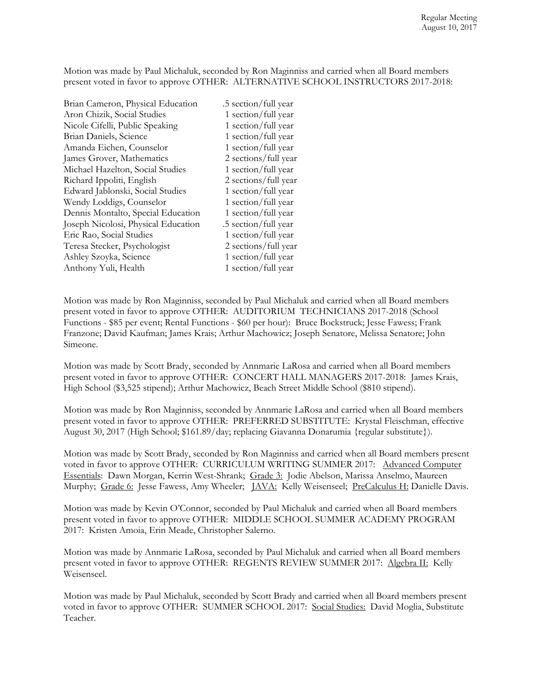Motion was made by Paul Michaluk, seconded by Ron Maginniss and carried when all Board members present voted in favor to approve OTHER: ALTERNATIVE SCHOOL INSTRUCTORS 2017-2018:

Brian Cameron, Physical Education .5 section/full year Aron Chizik, Social Studies 1 section/full year Nicole Cifelli, Public Speaking 1 section/full year Brian Daniels, Science 1 section/full year Amanda Eichen, Counselor 1 section/full year James Grover, Mathematics 2 sections/full year Michael Hazelton, Social Studies 1 section/full year Richard Ippoliti, English 2 sections/full year Edward Jablonski, Social Studies 1 section/full year Wendy Loddigs, Counselor 1 section/full year Dennis Montalto, Special Education 1 section/full year Joseph Nicolosi, Physical Education .5 section/full year Eric Rao, Social Studies 1 section/full year Teresa Stecker, Psychologist 2 sections/full year Ashley Szoyka, Science 1 section/full year Anthony Yuli, Health 1 section/full year

Motion was made by Ron Maginniss, seconded by Paul Michaluk and carried when all Board members present voted in favor to approve OTHER: AUDITORIUM TECHNICIANS 2017-2018 (School Functions - \$85 per event; Rental Functions - \$60 per hour): Bruce Bockstruck; Jesse Fawess; Frank Franzone; David Kaufman; James Krais; Arthur Machowicz; Joseph Senatore, Melissa Senatore; John Simeone.

Motion was made by Scott Brady, seconded by Annmarie LaRosa and carried when all Board members present voted in favor to approve OTHER: CONCERT HALL MANAGERS 2017-2018: James Krais, High School (\$3,525 stipend); Arthur Machowicz, Beach Street Middle School (\$810 stipend).

Motion was made by Ron Maginniss, seconded by Annmarie LaRosa and carried when all Board members present voted in favor to approve OTHER: PREFERRED SUBSTITUTE: Krystal Fleischman, effective August 30, 2017 (High School; \$161.89/day; replacing Giavanna Donarumia {regular substitute}).

Motion was made by Scott Brady, seconded by Ron Maginniss and carried when all Board members present voted in favor to approve OTHER: CURRICULUM WRITING SUMMER 2017: Advanced Computer Essentials: Dawn Morgan, Kerrin West-Shrank; Grade 3: Jodie Abelson, Marissa Anselmo, Maureen Murphy; Grade 6: Jesse Fawess, Amy Wheeler; *JAVA*: Kelly Weisenseel; *PreCalculus H: Danielle Davis.* 

Motion was made by Kevin O'Connor, seconded by Paul Michaluk and carried when all Board members present voted in favor to approve OTHER: MIDDLE SCHOOL SUMMER ACADEMY PROGRAM 2017: Kristen Amoia, Erin Meade, Christopher Salerno.

Motion was made by Annmarie LaRosa, seconded by Paul Michaluk and carried when all Board members present voted in favor to approve OTHER: REGENTS REVIEW SUMMER 2017: Algebra II: Kelly Weisenseel.

Motion was made by Paul Michaluk, seconded by Scott Brady and carried when all Board members present voted in favor to approve OTHER: SUMMER SCHOOL 2017: Social Studies: David Moglia, Substitute Teacher.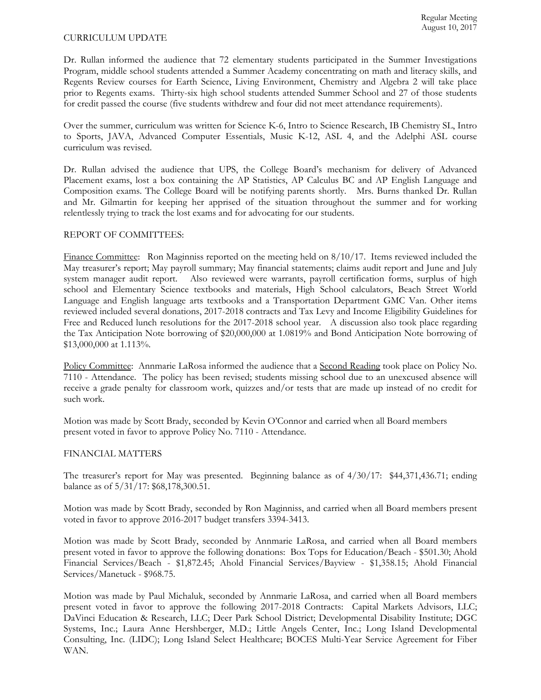#### CURRICULUM UPDATE

Dr. Rullan informed the audience that 72 elementary students participated in the Summer Investigations Program, middle school students attended a Summer Academy concentrating on math and literacy skills, and Regents Review courses for Earth Science, Living Environment, Chemistry and Algebra 2 will take place prior to Regents exams. Thirty-six high school students attended Summer School and 27 of those students for credit passed the course (five students withdrew and four did not meet attendance requirements).

Over the summer, curriculum was written for Science K-6, Intro to Science Research, IB Chemistry SL, Intro to Sports, JAVA, Advanced Computer Essentials, Music K-12, ASL 4, and the Adelphi ASL course curriculum was revised.

Dr. Rullan advised the audience that UPS, the College Board's mechanism for delivery of Advanced Placement exams, lost a box containing the AP Statistics, AP Calculus BC and AP English Language and Composition exams. The College Board will be notifying parents shortly. Mrs. Burns thanked Dr. Rullan and Mr. Gilmartin for keeping her apprised of the situation throughout the summer and for working relentlessly trying to track the lost exams and for advocating for our students.

## REPORT OF COMMITTEES:

Finance Committee: Ron Maginniss reported on the meeting held on  $8/10/17$ . Items reviewed included the May treasurer's report; May payroll summary; May financial statements; claims audit report and June and July system manager audit report. Also reviewed were warrants, payroll certification forms, surplus of high school and Elementary Science textbooks and materials, High School calculators, Beach Street World Language and English language arts textbooks and a Transportation Department GMC Van. Other items reviewed included several donations, 2017-2018 contracts and Tax Levy and Income Eligibility Guidelines for Free and Reduced lunch resolutions for the 2017-2018 school year. A discussion also took place regarding the Tax Anticipation Note borrowing of \$20,000,000 at 1.0819% and Bond Anticipation Note borrowing of \$13,000,000 at 1.113%.

Policy Committee: Annmarie LaRosa informed the audience that a Second Reading took place on Policy No. 7110 - Attendance. The policy has been revised; students missing school due to an unexcused absence will receive a grade penalty for classroom work, quizzes and/or tests that are made up instead of no credit for such work.

Motion was made by Scott Brady, seconded by Kevin O'Connor and carried when all Board members present voted in favor to approve Policy No. 7110 - Attendance.

#### FINANCIAL MATTERS

The treasurer's report for May was presented. Beginning balance as of 4/30/17: \$44,371,436.71; ending balance as of 5/31/17: \$68,178,300.51.

Motion was made by Scott Brady, seconded by Ron Maginniss, and carried when all Board members present voted in favor to approve 2016-2017 budget transfers 3394-3413.

Motion was made by Scott Brady, seconded by Annmarie LaRosa, and carried when all Board members present voted in favor to approve the following donations: Box Tops for Education/Beach - \$501.30; Ahold Financial Services/Beach - \$1,872.45; Ahold Financial Services/Bayview - \$1,358.15; Ahold Financial Services/Manetuck - \$968.75.

Motion was made by Paul Michaluk, seconded by Annmarie LaRosa, and carried when all Board members present voted in favor to approve the following 2017-2018 Contracts: Capital Markets Advisors, LLC; DaVinci Education & Research, LLC; Deer Park School District; Developmental Disability Institute; DGC Systems, Inc.; Laura Anne Hershberger, M.D.; Little Angels Center, Inc.; Long Island Developmental Consulting, Inc. (LIDC); Long Island Select Healthcare; BOCES Multi-Year Service Agreement for Fiber WAN.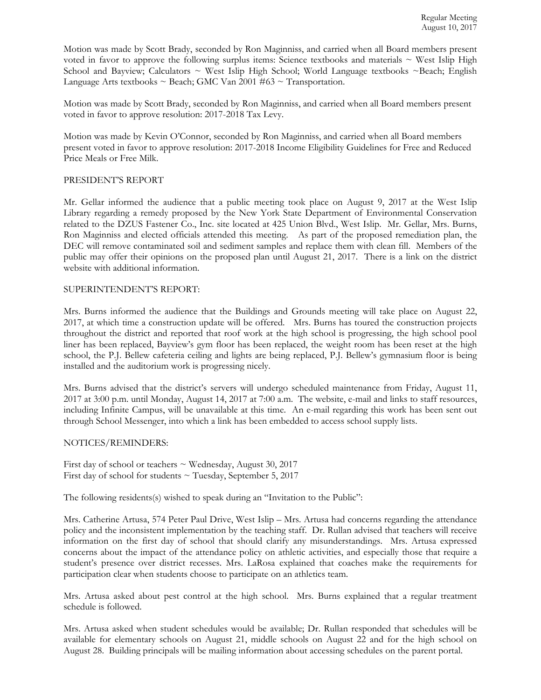Motion was made by Scott Brady, seconded by Ron Maginniss, and carried when all Board members present voted in favor to approve the following surplus items: Science textbooks and materials  $\sim$  West Islip High School and Bayview; Calculators  $\sim$  West Islip High School; World Language textbooks  $\sim$  Beach; English Language Arts textbooks  $\sim$  Beach; GMC Van 2001 #63  $\sim$  Transportation.

Motion was made by Scott Brady, seconded by Ron Maginniss, and carried when all Board members present voted in favor to approve resolution: 2017-2018 Tax Levy.

Motion was made by Kevin O'Connor, seconded by Ron Maginniss, and carried when all Board members present voted in favor to approve resolution: 2017-2018 Income Eligibility Guidelines for Free and Reduced Price Meals or Free Milk.

## PRESIDENT'S REPORT

Mr. Gellar informed the audience that a public meeting took place on August 9, 2017 at the West Islip Library regarding a remedy proposed by the New York State Department of Environmental Conservation related to the DZUS Fastener Co., Inc. site located at 425 Union Blvd., West Islip. Mr. Gellar, Mrs. Burns, Ron Maginniss and elected officials attended this meeting. As part of the proposed remediation plan, the DEC will remove contaminated soil and sediment samples and replace them with clean fill. Members of the public may offer their opinions on the proposed plan until August 21, 2017. There is a link on the district website with additional information.

#### SUPERINTENDENT'S REPORT:

Mrs. Burns informed the audience that the Buildings and Grounds meeting will take place on August 22, 2017, at which time a construction update will be offered. Mrs. Burns has toured the construction projects throughout the district and reported that roof work at the high school is progressing, the high school pool liner has been replaced, Bayview's gym floor has been replaced, the weight room has been reset at the high school, the P.J. Bellew cafeteria ceiling and lights are being replaced, P.J. Bellew's gymnasium floor is being installed and the auditorium work is progressing nicely.

Mrs. Burns advised that the district's servers will undergo scheduled maintenance from Friday, August 11, 2017 at 3:00 p.m. until Monday, August 14, 2017 at 7:00 a.m. The website, e-mail and links to staff resources, including Infinite Campus, will be unavailable at this time. An e-mail regarding this work has been sent out through School Messenger, into which a link has been embedded to access school supply lists.

## NOTICES/REMINDERS:

First day of school or teachers  $\sim$  Wednesday, August 30, 2017 First day of school for students  $\sim$  Tuesday, September 5, 2017

The following residents(s) wished to speak during an "Invitation to the Public":

Mrs. Catherine Artusa, 574 Peter Paul Drive, West Islip – Mrs. Artusa had concerns regarding the attendance policy and the inconsistent implementation by the teaching staff. Dr. Rullan advised that teachers will receive information on the first day of school that should clarify any misunderstandings. Mrs. Artusa expressed concerns about the impact of the attendance policy on athletic activities, and especially those that require a student's presence over district recesses. Mrs. LaRosa explained that coaches make the requirements for participation clear when students choose to participate on an athletics team.

Mrs. Artusa asked about pest control at the high school. Mrs. Burns explained that a regular treatment schedule is followed.

Mrs. Artusa asked when student schedules would be available; Dr. Rullan responded that schedules will be available for elementary schools on August 21, middle schools on August 22 and for the high school on August 28. Building principals will be mailing information about accessing schedules on the parent portal.